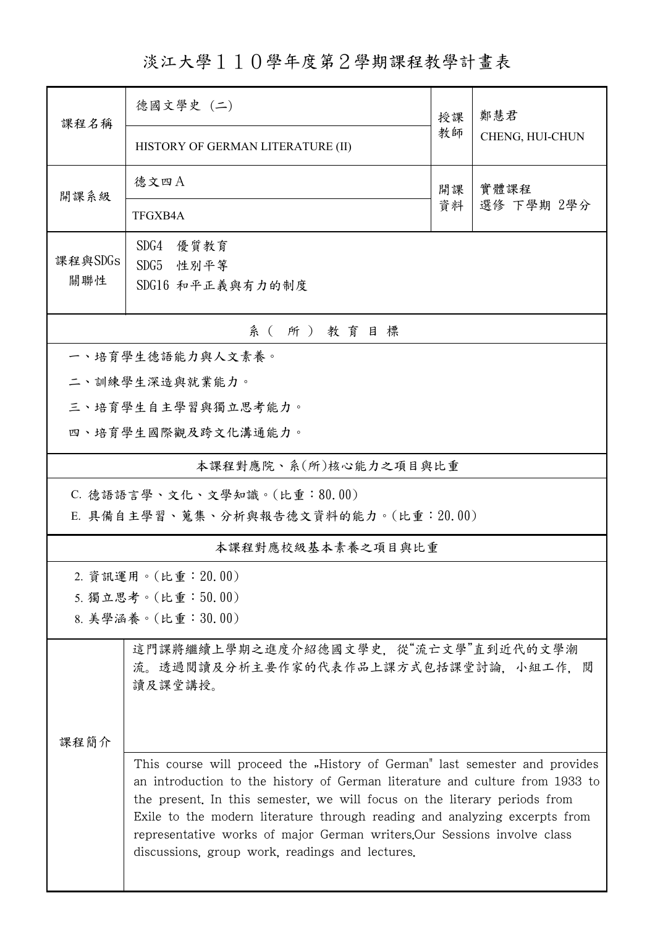淡江大學110學年度第2學期課程教學計畫表

| 課程名稱                         | 德國文學史 (二)                                                                                                                                                                                                                                                                                                                                                                                                                                             | 授課 | 鄭慧君             |  |  |  |  |
|------------------------------|-------------------------------------------------------------------------------------------------------------------------------------------------------------------------------------------------------------------------------------------------------------------------------------------------------------------------------------------------------------------------------------------------------------------------------------------------------|----|-----------------|--|--|--|--|
|                              | HISTORY OF GERMAN LITERATURE (II)                                                                                                                                                                                                                                                                                                                                                                                                                     | 教師 | CHENG, HUI-CHUN |  |  |  |  |
| 開課系級                         | 德文四A                                                                                                                                                                                                                                                                                                                                                                                                                                                  | 開課 | 實體課程            |  |  |  |  |
|                              | TFGXB4A                                                                                                                                                                                                                                                                                                                                                                                                                                               | 資料 | 選修 下學期 2學分      |  |  |  |  |
| 課程與SDGs                      | SDG4<br>優質教育                                                                                                                                                                                                                                                                                                                                                                                                                                          |    |                 |  |  |  |  |
| 關聯性                          | SDG5 性别平等<br>SDG16 和平正義與有力的制度                                                                                                                                                                                                                                                                                                                                                                                                                         |    |                 |  |  |  |  |
|                              |                                                                                                                                                                                                                                                                                                                                                                                                                                                       |    |                 |  |  |  |  |
| 系(所)教育目標<br>一、培育學生德語能力與人文素養。 |                                                                                                                                                                                                                                                                                                                                                                                                                                                       |    |                 |  |  |  |  |
| 二、訓練學生深造與就業能力。               |                                                                                                                                                                                                                                                                                                                                                                                                                                                       |    |                 |  |  |  |  |
| 三、培育學生自主學習與獨立思考能力。           |                                                                                                                                                                                                                                                                                                                                                                                                                                                       |    |                 |  |  |  |  |
| 四、培育學生國際觀及跨文化溝通能力。           |                                                                                                                                                                                                                                                                                                                                                                                                                                                       |    |                 |  |  |  |  |
| 本課程對應院、系(所)核心能力之項目與比重        |                                                                                                                                                                                                                                                                                                                                                                                                                                                       |    |                 |  |  |  |  |
| C. 德語語言學、文化、文學知識。(比重:80.00)  |                                                                                                                                                                                                                                                                                                                                                                                                                                                       |    |                 |  |  |  |  |
|                              | E. 具備自主學習、蒐集、分析與報告德文資料的能力。(比重: 20.00)                                                                                                                                                                                                                                                                                                                                                                                                                 |    |                 |  |  |  |  |
| 本課程對應校級基本素養之項目與比重            |                                                                                                                                                                                                                                                                                                                                                                                                                                                       |    |                 |  |  |  |  |
|                              | 2. 資訊運用。(比重: 20.00)                                                                                                                                                                                                                                                                                                                                                                                                                                   |    |                 |  |  |  |  |
| 5. 獨立思考。(比重:50.00)           |                                                                                                                                                                                                                                                                                                                                                                                                                                                       |    |                 |  |  |  |  |
| 8. 美學涵養。(比重:30.00)           |                                                                                                                                                                                                                                                                                                                                                                                                                                                       |    |                 |  |  |  |  |
|                              | 這門課將繼續上學期之進度介紹德國文學史, 從"流亡文學"直到近代的文學潮<br>流。透過閱讀及分析主要作家的代表作品上課方式包括課堂討論,小組工作,閱<br>讀及課堂講授。                                                                                                                                                                                                                                                                                                                                                                |    |                 |  |  |  |  |
|                              |                                                                                                                                                                                                                                                                                                                                                                                                                                                       |    |                 |  |  |  |  |
| 课程简介                         |                                                                                                                                                                                                                                                                                                                                                                                                                                                       |    |                 |  |  |  |  |
|                              | This course will proceed the "History of German" last semester and provides<br>an introduction to the history of German literature and culture from 1933 to<br>the present. In this semester, we will focus on the literary periods from<br>Exile to the modern literature through reading and analyzing excerpts from<br>representative works of major German writers. Our Sessions involve class<br>discussions, group work, readings and lectures. |    |                 |  |  |  |  |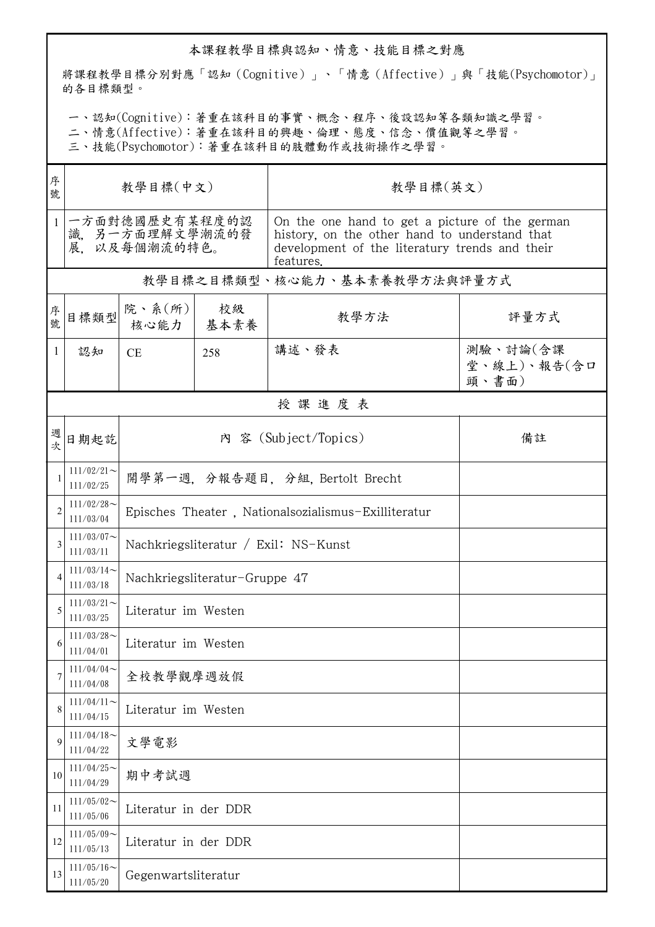## 本課程教學目標與認知、情意、技能目標之對應

將課程教學目標分別對應「認知(Cognitive)」、「情意(Affective)」與「技能(Psychomotor)」 的各目標類型。

一、認知(Cognitive):著重在該科目的事實、概念、程序、後設認知等各類知識之學習。

二、情意(Affective):著重在該科目的興趣、倫理、態度、信念、價值觀等之學習。

三、技能(Psychomotor):著重在該科目的肢體動作或技術操作之學習。

| 序<br>號         | 教學目標(中文)                                         |                                                     |                               | 教學目標(英文)                                                                                                                                                       |                                  |  |  |  |
|----------------|--------------------------------------------------|-----------------------------------------------------|-------------------------------|----------------------------------------------------------------------------------------------------------------------------------------------------------------|----------------------------------|--|--|--|
| $\mathbf{1}$   | 一方面對德國歷史有某程度的認<br>識、另一方面理解文學潮流的發<br>展。以及每個潮流的特色。 |                                                     |                               | On the one hand to get a picture of the german<br>history, on the other hand to understand that<br>development of the literatury trends and their<br>features. |                                  |  |  |  |
|                | 教學目標之目標類型、核心能力、基本素養教學方法與評量方式                     |                                                     |                               |                                                                                                                                                                |                                  |  |  |  |
| 序<br>號         | 目標類型                                             | 院、系 $(\text{m})$                                    | 校級<br>核心能力   基本素養             | 教學方法                                                                                                                                                           | 評量方式                             |  |  |  |
| $\mathbf{1}$   | 認知                                               | <b>CE</b>                                           | 258                           | 講述、發表                                                                                                                                                          | 測驗、討論(含課<br>堂、線上)、報告(含口<br>頭、書面) |  |  |  |
|                | 授課進度表                                            |                                                     |                               |                                                                                                                                                                |                                  |  |  |  |
| 週              | 日期起訖                                             |                                                     | 內 容 (Subject/Topics)          | 備註                                                                                                                                                             |                                  |  |  |  |
| 1              | $111/02/21$ ~<br>111/02/25                       |                                                     | 開學第一週,分報告題目,分組,Bertolt Brecht |                                                                                                                                                                |                                  |  |  |  |
| $\overline{2}$ | $111/02/28$ ~<br>111/03/04                       | Episches Theater, Nationalsozialismus-Exilliteratur |                               |                                                                                                                                                                |                                  |  |  |  |
| 3              | $111/03/07$ ~<br>111/03/11                       | Nachkriegsliteratur / Exil: NS-Kunst                |                               |                                                                                                                                                                |                                  |  |  |  |
| 4              | $111/03/14$ ~<br>111/03/18                       | Nachkriegsliteratur-Gruppe 47                       |                               |                                                                                                                                                                |                                  |  |  |  |
| 5              | $111/03/21$ ~<br>111/03/25                       | Literatur im Westen                                 |                               |                                                                                                                                                                |                                  |  |  |  |
| 6              | $111/03/28$ ~<br>111/04/01                       | Literatur im Westen                                 |                               |                                                                                                                                                                |                                  |  |  |  |
| 7              | $111/04/04$ ~<br>111/04/08                       | 全校教學觀摩週放假                                           |                               |                                                                                                                                                                |                                  |  |  |  |
| 8              | $111/04/11$ ~<br>111/04/15                       | Literatur im Westen                                 |                               |                                                                                                                                                                |                                  |  |  |  |
| 9              | $111/04/18$ ~<br>111/04/22                       | 文學電影                                                |                               |                                                                                                                                                                |                                  |  |  |  |
| 10             | $111/04/25$ ~<br>111/04/29                       | 期中考試週                                               |                               |                                                                                                                                                                |                                  |  |  |  |
| 11             | $111/05/02$ ~<br>111/05/06                       | Literatur in der DDR                                |                               |                                                                                                                                                                |                                  |  |  |  |
| 12             | $111/05/09$ ~<br>111/05/13                       | Literatur in der DDR                                |                               |                                                                                                                                                                |                                  |  |  |  |
| 13             | $111/05/16$ ~<br>111/05/20                       | Gegenwartsliteratur                                 |                               |                                                                                                                                                                |                                  |  |  |  |